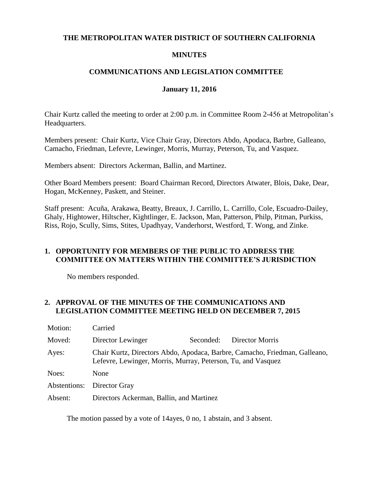#### **THE METROPOLITAN WATER DISTRICT OF SOUTHERN CALIFORNIA**

## **MINUTES**

# **COMMUNICATIONS AND LEGISLATION COMMITTEE**

#### **January 11, 2016**

Chair Kurtz called the meeting to order at 2:00 p.m. in Committee Room 2-456 at Metropolitan's Headquarters.

Members present: Chair Kurtz, Vice Chair Gray, Directors Abdo, Apodaca, Barbre, Galleano, Camacho, Friedman, Lefevre, Lewinger, Morris, Murray, Peterson, Tu, and Vasquez.

Members absent: Directors Ackerman, Ballin, and Martinez.

Other Board Members present: Board Chairman Record, Directors Atwater, Blois, Dake, Dear, Hogan, McKenney, Paskett, and Steiner.

Staff present: Acuña, Arakawa, Beatty, Breaux, J. Carrillo, L. Carrillo, Cole, Escuadro-Dailey, Ghaly, Hightower, Hiltscher, Kightlinger, E. Jackson, Man, Patterson, Philp, Pitman, Purkiss, Riss, Rojo, Scully, Sims, Stites, Upadhyay, Vanderhorst, Westford, T. Wong, and Zinke.

### **1. OPPORTUNITY FOR MEMBERS OF THE PUBLIC TO ADDRESS THE COMMITTEE ON MATTERS WITHIN THE COMMITTEE'S JURISDICTION**

No members responded.

### **2. APPROVAL OF THE MINUTES OF THE COMMUNICATIONS AND LEGISLATION COMMITTEE MEETING HELD ON DECEMBER 7, 2015**

| Motion:                    | Carried                                                                                                                                    |           |                 |
|----------------------------|--------------------------------------------------------------------------------------------------------------------------------------------|-----------|-----------------|
| Moved:                     | Director Lewinger                                                                                                                          | Seconded: | Director Morris |
| Ayes:                      | Chair Kurtz, Directors Abdo, Apodaca, Barbre, Camacho, Friedman, Galleano,<br>Lefevre, Lewinger, Morris, Murray, Peterson, Tu, and Vasquez |           |                 |
| Noes:                      | None                                                                                                                                       |           |                 |
| Abstentions: Director Gray |                                                                                                                                            |           |                 |
| Absent:                    | Directors Ackerman, Ballin, and Martinez                                                                                                   |           |                 |

The motion passed by a vote of 14ayes, 0 no, 1 abstain, and 3 absent.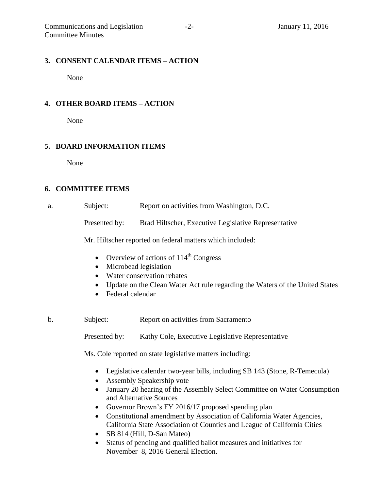#### **3. CONSENT CALENDAR ITEMS – ACTION**

None

# **4. OTHER BOARD ITEMS – ACTION**

None

# **5. BOARD INFORMATION ITEMS**

None

### **6. COMMITTEE ITEMS**

| Subject:        | Report on activities from Washington, D.C.                                                                                                                                                                                                                                                       |
|-----------------|--------------------------------------------------------------------------------------------------------------------------------------------------------------------------------------------------------------------------------------------------------------------------------------------------|
| $\mathbf{n}$ 11 | $\mathbf{u}$ and $\mathbf{u}$ and $\mathbf{u}$ and $\mathbf{u}$ and $\mathbf{u}$ and $\mathbf{u}$ and $\mathbf{u}$ and $\mathbf{u}$ and $\mathbf{u}$ and $\mathbf{u}$ and $\mathbf{u}$ and $\mathbf{u}$ and $\mathbf{u}$ and $\mathbf{u}$ and $\mathbf{u}$ and $\mathbf{u}$ and $\mathbf{u}$ and |

Presented by: Brad Hiltscher, Executive Legislative Representative

Mr. Hiltscher reported on federal matters which included:

- Overview of actions of  $114<sup>th</sup>$  Congress
- Microbead legislation
- Water conservation rebates
- Update on the Clean Water Act rule regarding the Waters of the United States
- Federal calendar
- b. Subject: Report on activities from Sacramento

Presented by: Kathy Cole, Executive Legislative Representative

Ms. Cole reported on state legislative matters including:

- Legislative calendar two-year bills, including SB 143 (Stone, R-Temecula)
- Assembly Speakership vote
- January 20 hearing of the Assembly Select Committee on Water Consumption and Alternative Sources
- Governor Brown's FY 2016/17 proposed spending plan
- Constitutional amendment by Association of California Water Agencies, California State Association of Counties and League of California Cities
- SB 814 (Hill, D-San Mateo)
- Status of pending and qualified ballot measures and initiatives for November 8, 2016 General Election.